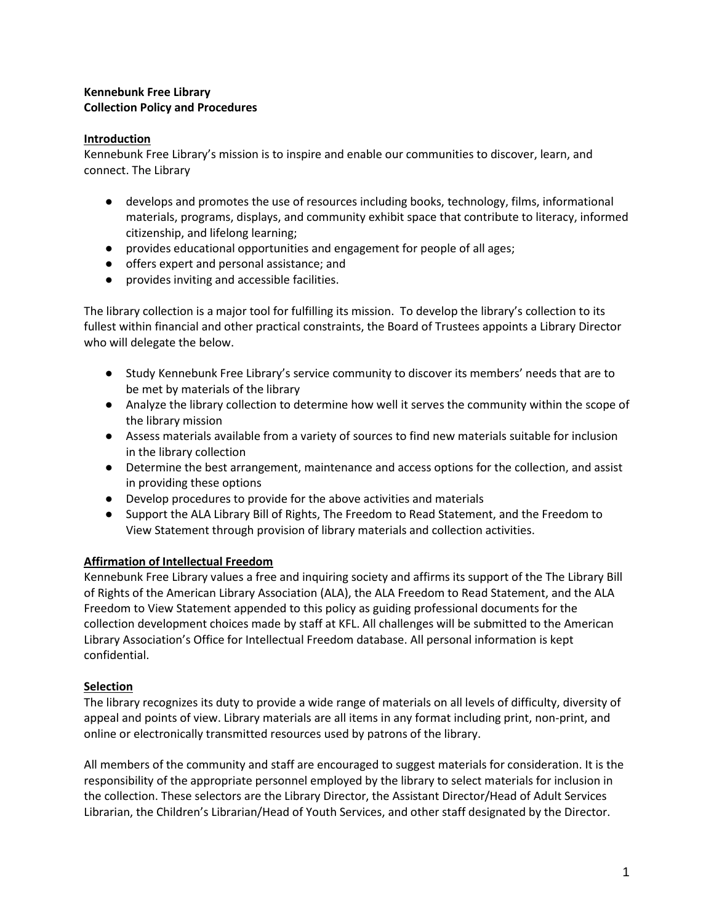## **Kennebunk Free Library Collection Policy and Procedures**

### **Introduction**

Kennebunk Free Library's mission is to inspire and enable our communities to discover, learn, and connect. The Library

- develops and promotes the use of resources including books, technology, films, informational materials, programs, displays, and community exhibit space that contribute to literacy, informed citizenship, and lifelong learning;
- provides educational opportunities and engagement for people of all ages;
- offers expert and personal assistance; and
- provides inviting and accessible facilities.

The library collection is a major tool for fulfilling its mission. To develop the library's collection to its fullest within financial and other practical constraints, the Board of Trustees appoints a Library Director who will delegate the below.

- Study Kennebunk Free Library's service community to discover its members' needs that are to be met by materials of the library
- Analyze the library collection to determine how well it serves the community within the scope of the library mission
- Assess materials available from a variety of sources to find new materials suitable for inclusion in the library collection
- Determine the best arrangement, maintenance and access options for the collection, and assist in providing these options
- Develop procedures to provide for the above activities and materials
- Support the ALA Library Bill of Rights, The Freedom to Read Statement, and the Freedom to View Statement through provision of library materials and collection activities.

## **Affirmation of Intellectual Freedom**

Kennebunk Free Library values a free and inquiring society and affirms its support of the The Library Bill of Rights of the American Library Association (ALA), the ALA Freedom to Read Statement, and the ALA Freedom to View Statement appended to this policy as guiding professional documents for the collection development choices made by staff at KFL. All challenges will be submitted to the American Library Association's Office for Intellectual Freedom database. All personal information is kept confidential.

#### **Selection**

The library recognizes its duty to provide a wide range of materials on all levels of difficulty, diversity of appeal and points of view. Library materials are all items in any format including print, non-print, and online or electronically transmitted resources used by patrons of the library.

All members of the community and staff are encouraged to suggest materials for consideration. It is the responsibility of the appropriate personnel employed by the library to select materials for inclusion in the collection. These selectors are the Library Director, the Assistant Director/Head of Adult Services Librarian, the Children's Librarian/Head of Youth Services, and other staff designated by the Director.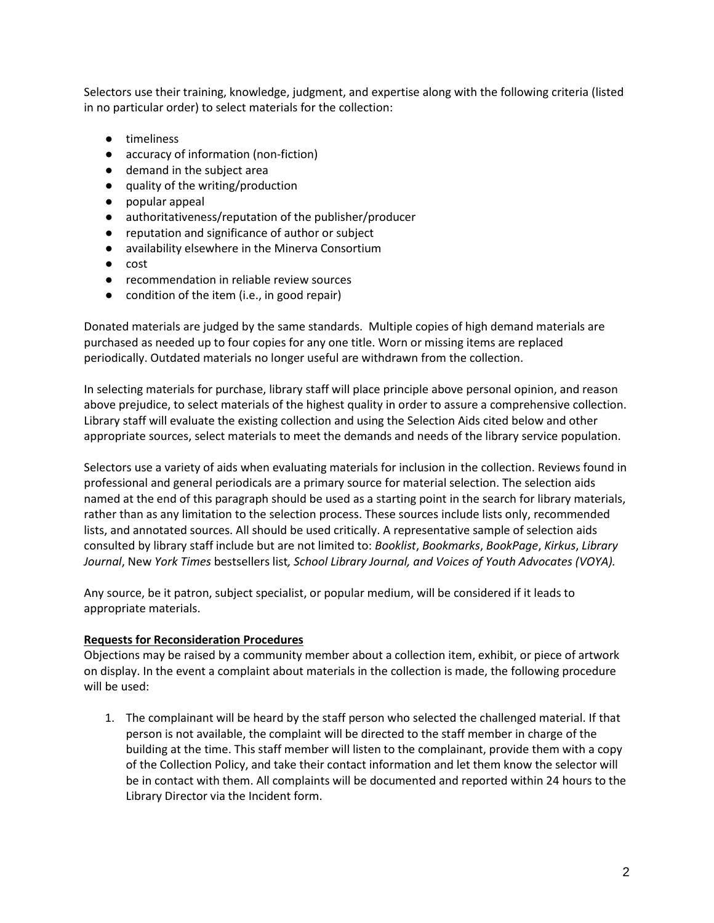Selectors use their training, knowledge, judgment, and expertise along with the following criteria (listed in no particular order) to select materials for the collection:

- timeliness
- accuracy of information (non-fiction)
- demand in the subject area
- quality of the writing/production
- popular appeal
- authoritativeness/reputation of the publisher/producer
- reputation and significance of author or subject
- availability elsewhere in the Minerva Consortium
- cost
- recommendation in reliable review sources
- condition of the item (i.e., in good repair)

Donated materials are judged by the same standards. Multiple copies of high demand materials are purchased as needed up to four copies for any one title. Worn or missing items are replaced periodically. Outdated materials no longer useful are withdrawn from the collection.

In selecting materials for purchase, library staff will place principle above personal opinion, and reason above prejudice, to select materials of the highest quality in order to assure a comprehensive collection. Library staff will evaluate the existing collection and using the Selection Aids cited below and other appropriate sources, select materials to meet the demands and needs of the library service population.

Selectors use a variety of aids when evaluating materials for inclusion in the collection. Reviews found in professional and general periodicals are a primary source for material selection. The selection aids named at the end of this paragraph should be used as a starting point in the search for library materials, rather than as any limitation to the selection process. These sources include lists only, recommended lists, and annotated sources. All should be used critically. A representative sample of selection aids consulted by library staff include but are not limited to: *Booklist*, *Bookmarks*, *BookPage*, *Kirkus*, *Library Journal*, New *York Times* bestsellers list*, School Library Journal, and Voices of Youth Advocates (VOYA).* 

Any source, be it patron, subject specialist, or popular medium, will be considered if it leads to appropriate materials.

#### **Requests for Reconsideration Procedures**

Objections may be raised by a community member about a collection item, exhibit, or piece of artwork on display. In the event a complaint about materials in the collection is made, the following procedure will be used:

1. The complainant will be heard by the staff person who selected the challenged material. If that person is not available, the complaint will be directed to the staff member in charge of the building at the time. This staff member will listen to the complainant, provide them with a copy of the Collection Policy, and take their contact information and let them know the selector will be in contact with them. All complaints will be documented and reported within 24 hours to the Library Director via the Incident form.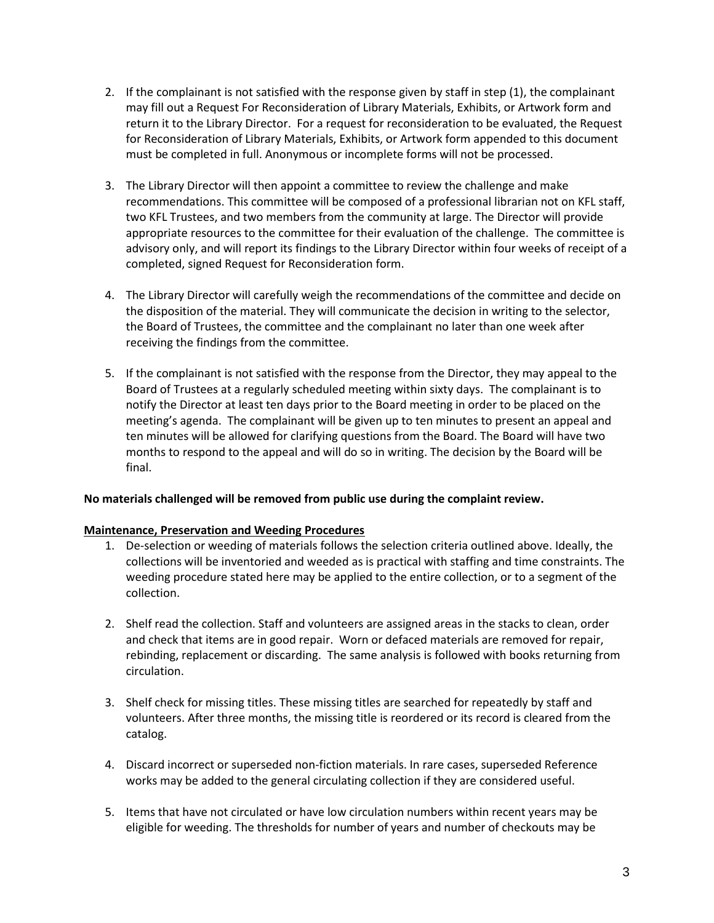- 2. If the complainant is not satisfied with the response given by staff in step (1), the complainant may fill out a Request For Reconsideration of Library Materials, Exhibits, or Artwork form and return it to the Library Director. For a request for reconsideration to be evaluated, the Request for Reconsideration of Library Materials, Exhibits, or Artwork form appended to this document must be completed in full. Anonymous or incomplete forms will not be processed.
- 3. The Library Director will then appoint a committee to review the challenge and make recommendations. This committee will be composed of a professional librarian not on KFL staff, two KFL Trustees, and two members from the community at large. The Director will provide appropriate resources to the committee for their evaluation of the challenge. The committee is advisory only, and will report its findings to the Library Director within four weeks of receipt of a completed, signed Request for Reconsideration form.
- 4. The Library Director will carefully weigh the recommendations of the committee and decide on the disposition of the material. They will communicate the decision in writing to the selector, the Board of Trustees, the committee and the complainant no later than one week after receiving the findings from the committee.
- 5. If the complainant is not satisfied with the response from the Director, they may appeal to the Board of Trustees at a regularly scheduled meeting within sixty days. The complainant is to notify the Director at least ten days prior to the Board meeting in order to be placed on the meeting's agenda. The complainant will be given up to ten minutes to present an appeal and ten minutes will be allowed for clarifying questions from the Board. The Board will have two months to respond to the appeal and will do so in writing. The decision by the Board will be final.

#### **No materials challenged will be removed from public use during the complaint review.**

### **Maintenance, Preservation and Weeding Procedures**

- 1. De-selection or weeding of materials follows the selection criteria outlined above. Ideally, the collections will be inventoried and weeded as is practical with staffing and time constraints. The weeding procedure stated here may be applied to the entire collection, or to a segment of the collection.
- 2. Shelf read the collection. Staff and volunteers are assigned areas in the stacks to clean, order and check that items are in good repair. Worn or defaced materials are removed for repair, rebinding, replacement or discarding. The same analysis is followed with books returning from circulation.
- 3. Shelf check for missing titles. These missing titles are searched for repeatedly by staff and volunteers. After three months, the missing title is reordered or its record is cleared from the catalog.
- 4. Discard incorrect or superseded non-fiction materials. In rare cases, superseded Reference works may be added to the general circulating collection if they are considered useful.
- 5. Items that have not circulated or have low circulation numbers within recent years may be eligible for weeding. The thresholds for number of years and number of checkouts may be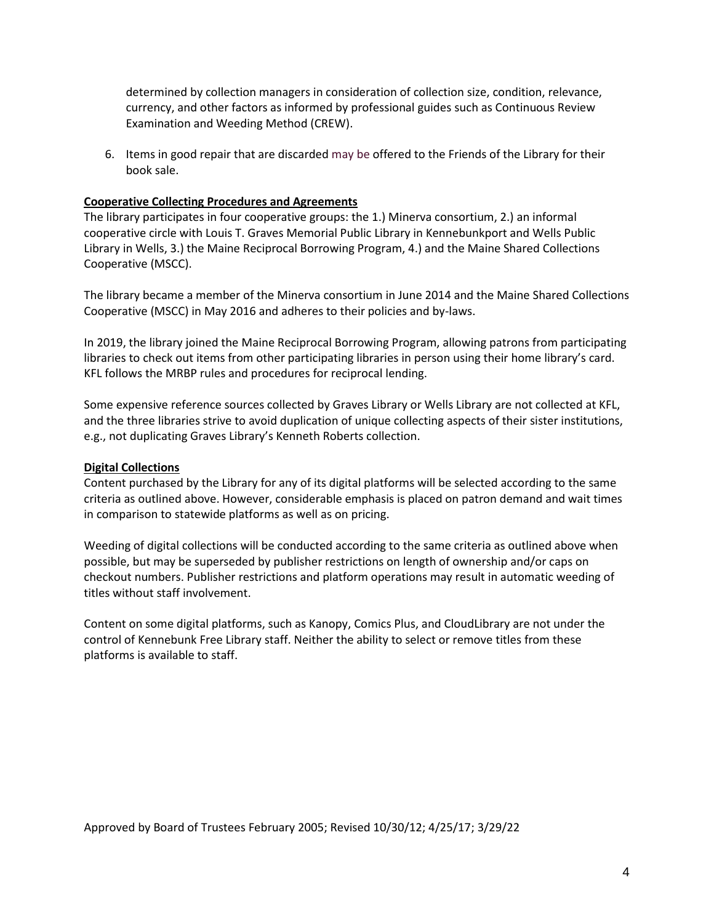determined by collection managers in consideration of collection size, condition, relevance, currency, and other factors as informed by professional guides such as Continuous Review Examination and Weeding Method (CREW).

6. Items in good repair that are discarded may be offered to the Friends of the Library for their book sale.

#### **Cooperative Collecting Procedures and Agreements**

The library participates in four cooperative groups: the 1.) Minerva consortium, 2.) an informal cooperative circle with Louis T. Graves Memorial Public Library in Kennebunkport and Wells Public Library in Wells, 3.) the Maine Reciprocal Borrowing Program, 4.) and the Maine Shared Collections Cooperative (MSCC).

The library became a member of the Minerva consortium in June 2014 and the Maine Shared Collections Cooperative (MSCC) in May 2016 and adheres to their policies and by-laws.

In 2019, the library joined the Maine Reciprocal Borrowing Program, allowing patrons from participating libraries to check out items from other participating libraries in person using their home library's card. KFL follows the MRBP rules and procedures for reciprocal lending.

Some expensive reference sources collected by Graves Library or Wells Library are not collected at KFL, and the three libraries strive to avoid duplication of unique collecting aspects of their sister institutions, e.g., not duplicating Graves Library's Kenneth Roberts collection.

### **Digital Collections**

Content purchased by the Library for any of its digital platforms will be selected according to the same criteria as outlined above. However, considerable emphasis is placed on patron demand and wait times in comparison to statewide platforms as well as on pricing.

Weeding of digital collections will be conducted according to the same criteria as outlined above when possible, but may be superseded by publisher restrictions on length of ownership and/or caps on checkout numbers. Publisher restrictions and platform operations may result in automatic weeding of titles without staff involvement.

Content on some digital platforms, such as Kanopy, Comics Plus, and CloudLibrary are not under the control of Kennebunk Free Library staff. Neither the ability to select or remove titles from these platforms is available to staff.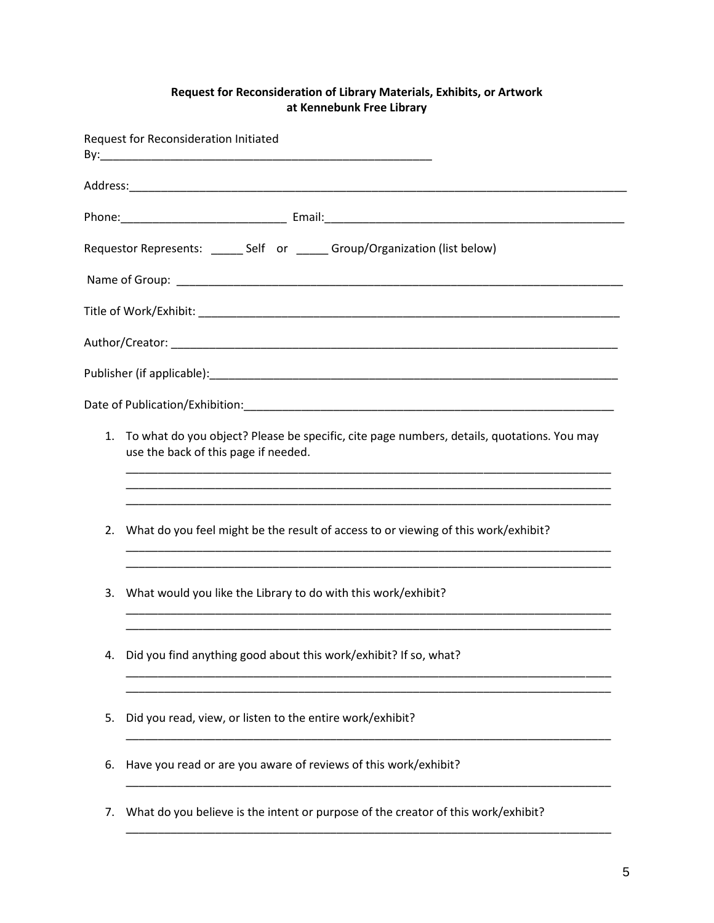# **Request for Reconsideration of Library Materials, Exhibits, or Artwork at Kennebunk Free Library**

| Request for Reconsideration Initiated |                                                                                                                                    |
|---------------------------------------|------------------------------------------------------------------------------------------------------------------------------------|
|                                       |                                                                                                                                    |
|                                       |                                                                                                                                    |
|                                       | Requestor Represents: ______ Self or ______ Group/Organization (list below)                                                        |
|                                       |                                                                                                                                    |
|                                       |                                                                                                                                    |
|                                       |                                                                                                                                    |
|                                       |                                                                                                                                    |
|                                       |                                                                                                                                    |
| 1.                                    | To what do you object? Please be specific, cite page numbers, details, quotations. You may<br>use the back of this page if needed. |
|                                       | <u> 1989 - Johann Stoff, deutscher Stoff, der Stoff, der Stoff, der Stoff, der Stoff, der Stoff, der Stoff, der S</u>              |
| 2.                                    | What do you feel might be the result of access to or viewing of this work/exhibit?                                                 |
| 3.                                    | What would you like the Library to do with this work/exhibit?                                                                      |
| 4.                                    | Did you find anything good about this work/exhibit? If so, what?                                                                   |
| 5.                                    | Did you read, view, or listen to the entire work/exhibit?                                                                          |
| 6.                                    | Have you read or are you aware of reviews of this work/exhibit?                                                                    |
| 7.                                    | What do you believe is the intent or purpose of the creator of this work/exhibit?                                                  |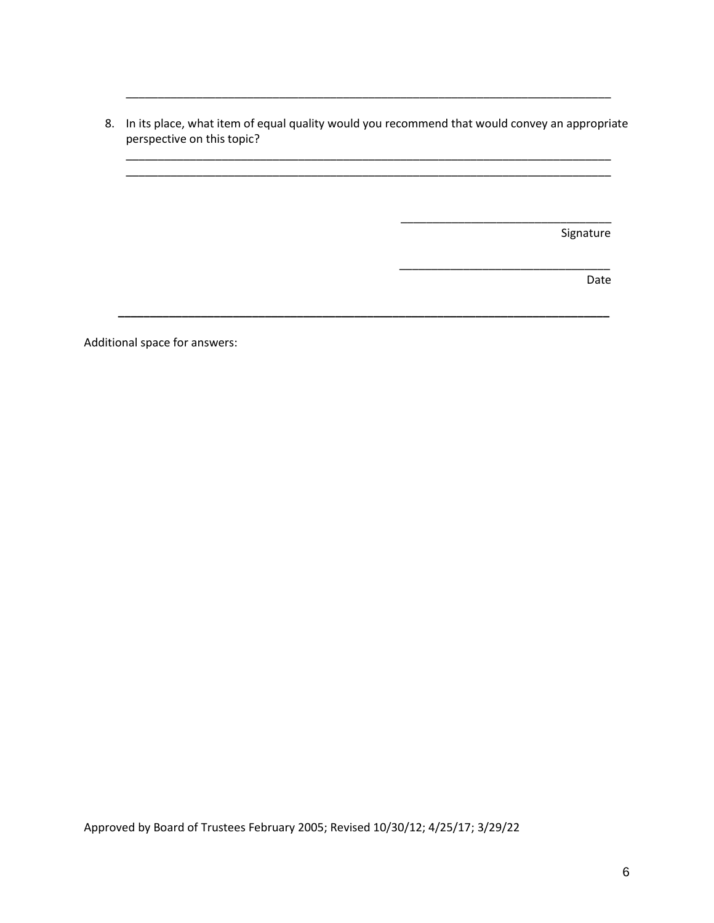8. In its place, what item of equal quality would you recommend that would convey an appropriate perspective on this topic?

\_\_\_\_\_\_\_\_\_\_\_\_\_\_\_\_\_\_\_\_\_\_\_\_\_\_\_\_\_\_\_\_\_\_\_\_\_\_\_\_\_\_\_\_\_\_\_\_\_\_\_\_\_\_\_\_\_\_\_\_\_\_\_\_\_\_\_\_\_\_\_\_\_\_\_\_ \_\_\_\_\_\_\_\_\_\_\_\_\_\_\_\_\_\_\_\_\_\_\_\_\_\_\_\_\_\_\_\_\_\_\_\_\_\_\_\_\_\_\_\_\_\_\_\_\_\_\_\_\_\_\_\_\_\_\_\_\_\_\_\_\_\_\_\_\_\_\_\_\_\_\_\_

 $\overline{\phantom{a}}$  , and the contract of the contract of the contract of the contract of the contract of the contract of the contract of the contract of the contract of the contract of the contract of the contract of the contrac

 $\overline{\phantom{a}}$  , and the contract of the contract of the contract of the contract of the contract of the contract of the contract of the contract of the contract of the contract of the contract of the contract of the contrac

 **\_\_\_\_\_\_\_\_\_\_\_\_\_\_\_\_\_\_\_\_\_\_\_\_\_\_\_\_\_\_\_\_\_\_\_\_\_\_\_\_\_\_\_\_\_\_\_\_\_\_\_\_\_\_\_\_\_\_\_\_\_\_\_\_\_\_\_\_\_\_\_\_\_\_\_\_\_**

\_\_\_\_\_\_\_\_\_\_\_\_\_\_\_\_\_\_\_\_\_\_\_\_\_\_\_\_\_\_\_\_\_\_\_\_\_\_\_\_\_\_\_\_\_\_\_\_\_\_\_\_\_\_\_\_\_\_\_\_\_\_\_\_\_\_\_\_\_\_\_\_\_\_\_\_

Signature

de de la construction de la construction de la construction de la construction de la construction de la constr

Additional space for answers:

Approved by Board of Trustees February 2005; Revised 10/30/12; 4/25/17; 3/29/22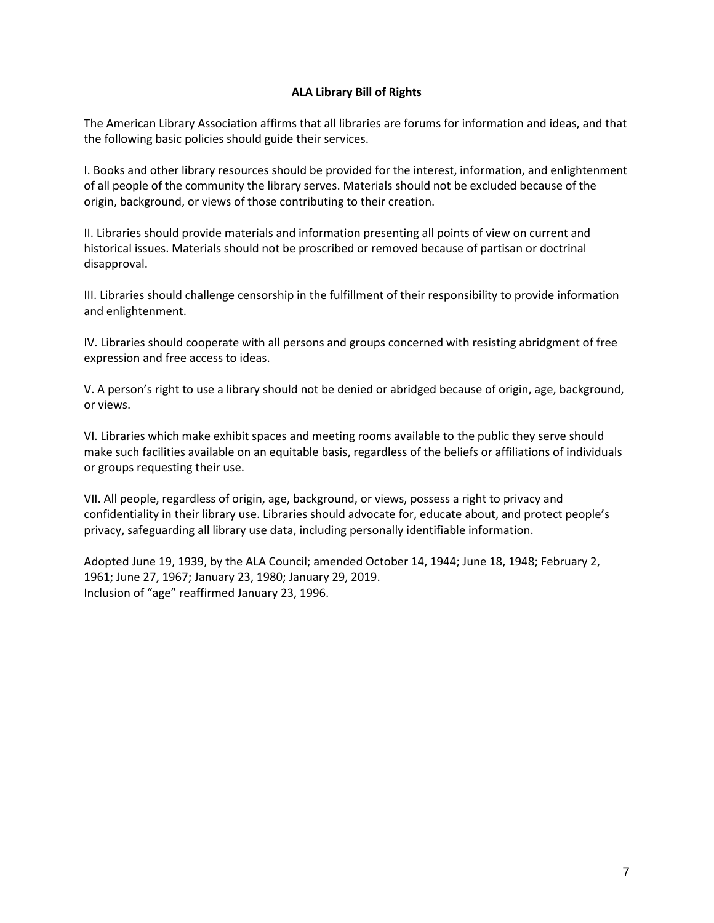## **ALA Library Bill of Rights**

The American Library Association affirms that all libraries are forums for information and ideas, and that the following basic policies should guide their services.

I. Books and other library resources should be provided for the interest, information, and enlightenment of all people of the community the library serves. Materials should not be excluded because of the origin, background, or views of those contributing to their creation.

II. Libraries should provide materials and information presenting all points of view on current and historical issues. Materials should not be proscribed or removed because of partisan or doctrinal disapproval.

III. Libraries should challenge censorship in the fulfillment of their responsibility to provide information and enlightenment.

IV. Libraries should cooperate with all persons and groups concerned with resisting abridgment of free expression and free access to ideas.

V. A person's right to use a library should not be denied or abridged because of origin, age, background, or views.

VI. Libraries which make exhibit spaces and meeting rooms available to the public they serve should make such facilities available on an equitable basis, regardless of the beliefs or affiliations of individuals or groups requesting their use.

VII. All people, regardless of origin, age, background, or views, possess a right to privacy and confidentiality in their library use. Libraries should advocate for, educate about, and protect people's privacy, safeguarding all library use data, including personally identifiable information.

Adopted June 19, 1939, by the ALA Council; amended October 14, 1944; June 18, 1948; February 2, 1961; June 27, 1967; January 23, 1980; January 29, 2019. Inclusion of "age" reaffirmed January 23, 1996.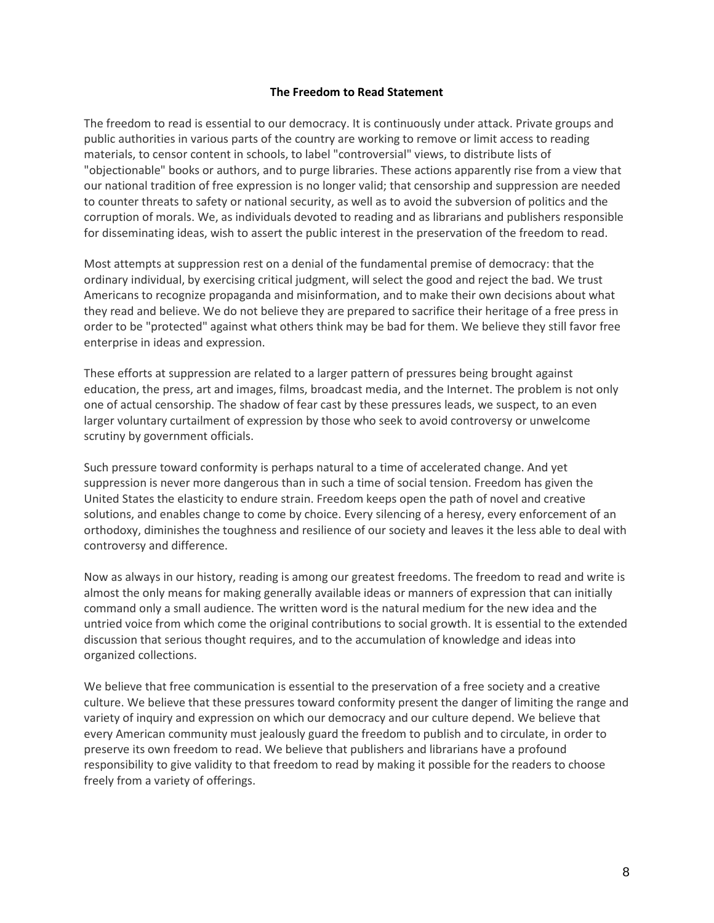#### **The Freedom to Read Statement**

The freedom to read is essential to our democracy. It is continuously under attack. Private groups and public authorities in various parts of the country are working to remove or limit access to reading materials, to censor content in schools, to label "controversial" views, to distribute lists of "objectionable" books or authors, and to purge libraries. These actions apparently rise from a view that our national tradition of free expression is no longer valid; that censorship and suppression are needed to counter threats to safety or national security, as well as to avoid the subversion of politics and the corruption of morals. We, as individuals devoted to reading and as librarians and publishers responsible for disseminating ideas, wish to assert the public interest in the preservation of the freedom to read.

Most attempts at suppression rest on a denial of the fundamental premise of democracy: that the ordinary individual, by exercising critical judgment, will select the good and reject the bad. We trust Americans to recognize propaganda and misinformation, and to make their own decisions about what they read and believe. We do not believe they are prepared to sacrifice their heritage of a free press in order to be "protected" against what others think may be bad for them. We believe they still favor free enterprise in ideas and expression.

These efforts at suppression are related to a larger pattern of pressures being brought against education, the press, art and images, films, broadcast media, and the Internet. The problem is not only one of actual censorship. The shadow of fear cast by these pressures leads, we suspect, to an even larger voluntary curtailment of expression by those who seek to avoid controversy or unwelcome scrutiny by government officials.

Such pressure toward conformity is perhaps natural to a time of accelerated change. And yet suppression is never more dangerous than in such a time of social tension. Freedom has given the United States the elasticity to endure strain. Freedom keeps open the path of novel and creative solutions, and enables change to come by choice. Every silencing of a heresy, every enforcement of an orthodoxy, diminishes the toughness and resilience of our society and leaves it the less able to deal with controversy and difference.

Now as always in our history, reading is among our greatest freedoms. The freedom to read and write is almost the only means for making generally available ideas or manners of expression that can initially command only a small audience. The written word is the natural medium for the new idea and the untried voice from which come the original contributions to social growth. It is essential to the extended discussion that serious thought requires, and to the accumulation of knowledge and ideas into organized collections.

We believe that free communication is essential to the preservation of a free society and a creative culture. We believe that these pressures toward conformity present the danger of limiting the range and variety of inquiry and expression on which our democracy and our culture depend. We believe that every American community must jealously guard the freedom to publish and to circulate, in order to preserve its own freedom to read. We believe that publishers and librarians have a profound responsibility to give validity to that freedom to read by making it possible for the readers to choose freely from a variety of offerings.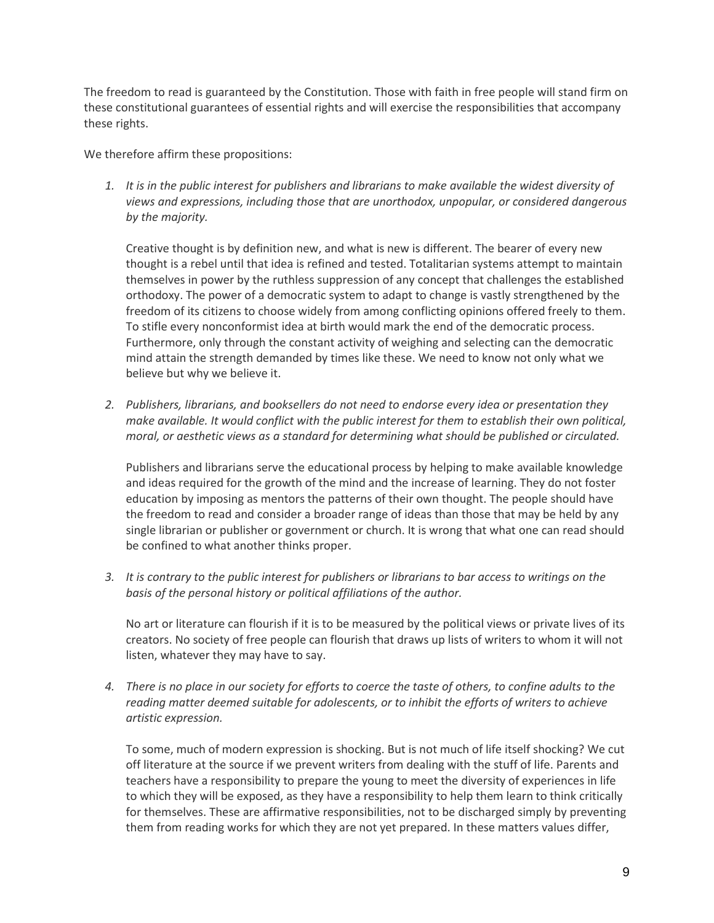The freedom to read is guaranteed by the Constitution. Those with faith in free people will stand firm on these constitutional guarantees of essential rights and will exercise the responsibilities that accompany these rights.

We therefore affirm these propositions:

*1. It is in the public interest for publishers and librarians to make available the widest diversity of views and expressions, including those that are unorthodox, unpopular, or considered dangerous by the majority.*

Creative thought is by definition new, and what is new is different. The bearer of every new thought is a rebel until that idea is refined and tested. Totalitarian systems attempt to maintain themselves in power by the ruthless suppression of any concept that challenges the established orthodoxy. The power of a democratic system to adapt to change is vastly strengthened by the freedom of its citizens to choose widely from among conflicting opinions offered freely to them. To stifle every nonconformist idea at birth would mark the end of the democratic process. Furthermore, only through the constant activity of weighing and selecting can the democratic mind attain the strength demanded by times like these. We need to know not only what we believe but why we believe it.

*2. Publishers, librarians, and booksellers do not need to endorse every idea or presentation they make available. It would conflict with the public interest for them to establish their own political, moral, or aesthetic views as a standard for determining what should be published or circulated.*

Publishers and librarians serve the educational process by helping to make available knowledge and ideas required for the growth of the mind and the increase of learning. They do not foster education by imposing as mentors the patterns of their own thought. The people should have the freedom to read and consider a broader range of ideas than those that may be held by any single librarian or publisher or government or church. It is wrong that what one can read should be confined to what another thinks proper.

*3. It is contrary to the public interest for publishers or librarians to bar access to writings on the basis of the personal history or political affiliations of the author.*

No art or literature can flourish if it is to be measured by the political views or private lives of its creators. No society of free people can flourish that draws up lists of writers to whom it will not listen, whatever they may have to say.

*4. There is no place in our society for efforts to coerce the taste of others, to confine adults to the reading matter deemed suitable for adolescents, or to inhibit the efforts of writers to achieve artistic expression.*

To some, much of modern expression is shocking. But is not much of life itself shocking? We cut off literature at the source if we prevent writers from dealing with the stuff of life. Parents and teachers have a responsibility to prepare the young to meet the diversity of experiences in life to which they will be exposed, as they have a responsibility to help them learn to think critically for themselves. These are affirmative responsibilities, not to be discharged simply by preventing them from reading works for which they are not yet prepared. In these matters values differ,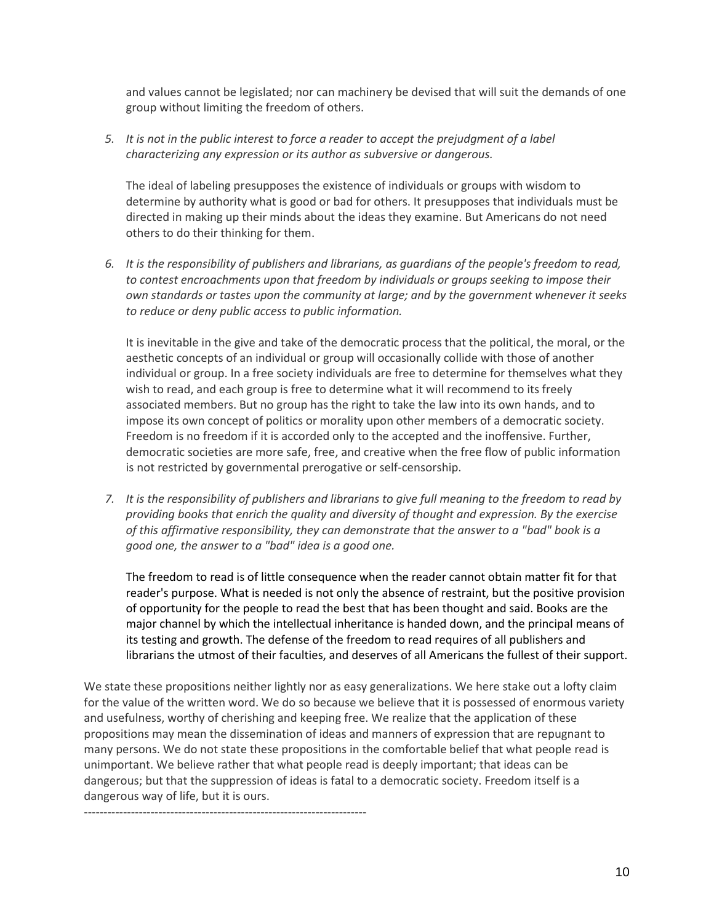and values cannot be legislated; nor can machinery be devised that will suit the demands of one group without limiting the freedom of others.

*5. It is not in the public interest to force a reader to accept the prejudgment of a label characterizing any expression or its author as subversive or dangerous.*

The ideal of labeling presupposes the existence of individuals or groups with wisdom to determine by authority what is good or bad for others. It presupposes that individuals must be directed in making up their minds about the ideas they examine. But Americans do not need others to do their thinking for them.

*6. It is the responsibility of publishers and librarians, as guardians of the people's freedom to read, to contest encroachments upon that freedom by individuals or groups seeking to impose their own standards or tastes upon the community at large; and by the government whenever it seeks to reduce or deny public access to public information.*

It is inevitable in the give and take of the democratic process that the political, the moral, or the aesthetic concepts of an individual or group will occasionally collide with those of another individual or group. In a free society individuals are free to determine for themselves what they wish to read, and each group is free to determine what it will recommend to its freely associated members. But no group has the right to take the law into its own hands, and to impose its own concept of politics or morality upon other members of a democratic society. Freedom is no freedom if it is accorded only to the accepted and the inoffensive. Further, democratic societies are more safe, free, and creative when the free flow of public information is not restricted by governmental prerogative or self-censorship.

*7. It is the responsibility of publishers and librarians to give full meaning to the freedom to read by providing books that enrich the quality and diversity of thought and expression. By the exercise of this affirmative responsibility, they can demonstrate that the answer to a "bad" book is a good one, the answer to a "bad" idea is a good one.*

The freedom to read is of little consequence when the reader cannot obtain matter fit for that reader's purpose. What is needed is not only the absence of restraint, but the positive provision of opportunity for the people to read the best that has been thought and said. Books are the major channel by which the intellectual inheritance is handed down, and the principal means of its testing and growth. The defense of the freedom to read requires of all publishers and librarians the utmost of their faculties, and deserves of all Americans the fullest of their support.

We state these propositions neither lightly nor as easy generalizations. We here stake out a lofty claim for the value of the written word. We do so because we believe that it is possessed of enormous variety and usefulness, worthy of cherishing and keeping free. We realize that the application of these propositions may mean the dissemination of ideas and manners of expression that are repugnant to many persons. We do not state these propositions in the comfortable belief that what people read is unimportant. We believe rather that what people read is deeply important; that ideas can be dangerous; but that the suppression of ideas is fatal to a democratic society. Freedom itself is a dangerous way of life, but it is ours.

------------------------------------------------------------------------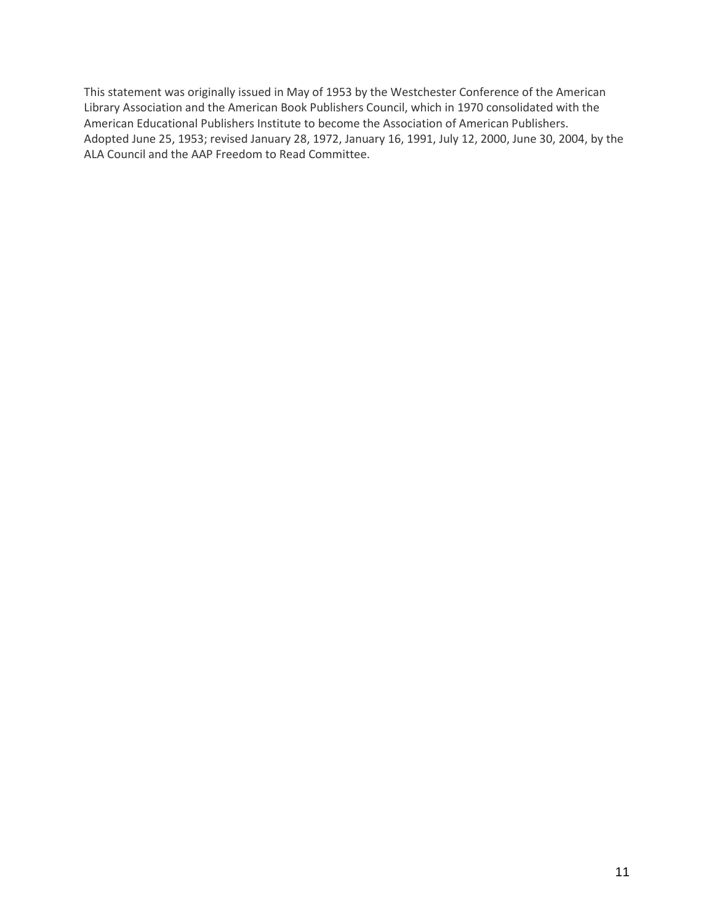This statement was originally issued in May of 1953 by the Westchester Conference of the American Library Association and the American Book Publishers Council, which in 1970 consolidated with the American Educational Publishers Institute to become the Association of American Publishers. Adopted June 25, 1953; revised January 28, 1972, January 16, 1991, July 12, 2000, June 30, 2004, by the ALA Council and the AAP Freedom to Read Committee.